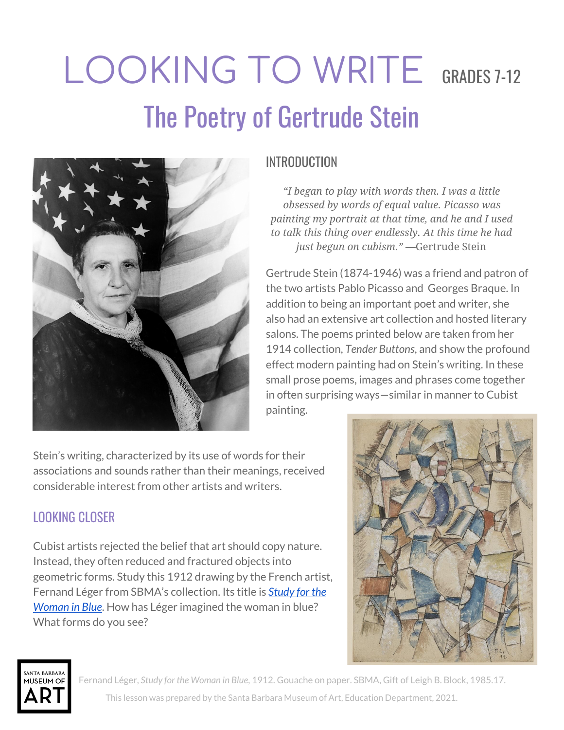# LOOKING TO WRITE GRADES 7-12 The Poetry of Gertrude Stein



## INTRODUCTION

*"I began to play with words then. I was a little obsessed by words of equal value. Picasso was painting my portrait at that time, and he and I used to talk this thing over endlessly. At this time he had just begun on cubism."* —Gertrude Stein

Gertrude Stein (1874-1946) was a friend and patron of the two artists Pablo Picasso and Georges Braque. In addition to being an important poet and writer, she also had an extensive art collection and hosted literary salons. The poems printed below are taken from her 1914 collection, *Tender Buttons*, and show the profound effect modern painting had on Stein's writing. In these small prose poems, images and phrases come together in often surprising ways—similar in manner to Cubist painting.

Stein's writing, characterized by its use of words for their associations and sounds rather than their meanings, received considerable interest from other artists and writers.

# LOOKING CLOSER

Cubist artists rejected the belief that art should copy nature. Instead, they often reduced and fractured objects into geometric forms. Study this 1912 drawing by the French artist, Fernand Léger from SBMA's collection. Its title is *[Study](http://collections.sbma.net/objects/5563/study-for-the-woman-in-blue?ctx=f2779ece-c2c8-4667-9303-39de552c4b44&idx=1) for the [Woman](http://collections.sbma.net/objects/5563/study-for-the-woman-in-blue?ctx=f2779ece-c2c8-4667-9303-39de552c4b44&idx=1) in Blue*. How has Léger imagined the woman in blue? What forms do you see?





Fernand Léger, *Study for the Woman in Blue*, 1912. Gouache on paper. SBMA, Gift of Leigh B. Block, 1985.17.

This lesson was prepared by the Santa Barbara Museum of Art, Education Department, 2021.